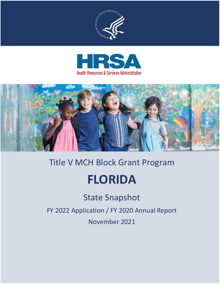





# Title V MCH Block Grant Program FLORIDA

## State Snapshot

FY 2022 Application / FY 2020 Annual Report

November 2021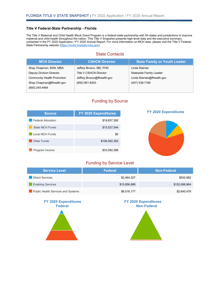#### **Title V Federal-State Partnership - Florida**

The Title V Maternal and Child Health Block Grant Program is a federal-state partnership with 59 states and jurisdictions to improve maternal and child health throughout the nation. This Title V Snapshot presents high-level data and the executive summary contained in the FY 2022 Application / FY 2020 Annual Report. For more information on MCH data, please visit the Title V Federal-State Partnership website (https://mchb.tvisdata.hrsa.gov)

## State Contacts

| <b>MCH Director</b>               | <b>CSHCN Director</b>       | <b>State Family or Youth Leader</b> |
|-----------------------------------|-----------------------------|-------------------------------------|
| Shay Chapman, BSN, MBA            | Jeffrey Brosco, MD, PHD     | Linda Starnes                       |
| Deputy Division Director,         | Title V CSHCN Director      | Statewide Family Leader             |
| <b>Community Health Promotion</b> | Jeffrey.Brosco@flhealth.gov | Linda Starnes@flhealth.gov          |
| Shay.Chapman@flhealth.gov         | (850) 901-6303              | (407) 538-7180                      |
| (850) 245-4464                    |                             |                                     |

## Funding by Source

| <b>Source</b>             | <b>FY 2020 Expenditures</b> |
|---------------------------|-----------------------------|
| <b>Federal Allocation</b> | \$19,837,392                |
| <b>State MCH Funds</b>    | \$15,527,544                |
| Local MCH Funds           | \$0                         |
| <b>Other Funds</b>        | \$106,092,392               |
| Program Income            | \$33,592,386                |

## **FY 2020 Expenditures**



## Funding by Service Level

| <b>Service Level</b>               | Federal      | <b>Non-Federal</b> |
|------------------------------------|--------------|--------------------|
| <b>Direct Services</b>             | \$2,464,327  | \$502,982          |
| <b>Enabling Services</b>           | \$10,856,888 | \$152,068,864      |
| Public Health Services and Systems | \$6,516,177  | \$2,640,476        |

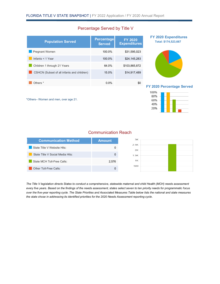| <b>Population Served</b>                   | <b>Percentage</b><br><b>Served</b> | <b>FY 2020</b><br><b>Expenditures</b> |
|--------------------------------------------|------------------------------------|---------------------------------------|
| <b>Pregnant Women</b>                      | 100.0%                             | \$31,595,023                          |
| Infants $<$ 1 Year                         | 100.0%                             | \$24,145,283                          |
| Children 1 through 21 Years                | 64.0%                              | \$103,865,872                         |
| CSHCN (Subset of all infants and children) | 15.0%                              | \$14,917,489                          |
| Others <sup>*</sup>                        | $0.0\%$                            | \$0                                   |

## Percentage Served by Title V

\*Others– Women and men, over age 21.

## **FY 2020 Expenditures Total: \$174,523,667**



## **FY 2020 Percentage Served**



## Communication Reach

| <b>Communication Method</b>      | <b>Amount</b> |
|----------------------------------|---------------|
| State Title V Website Hits:      |               |
| State Title V Social Media Hits: | O             |
| State MCH Toll-Free Calls:       | 2.576         |
| Other Toll-Free Calls:           |               |

| 3K   |  |
|------|--|
| 2.5K |  |
| 2K   |  |
| 1.5K |  |
| 1K   |  |
| 500  |  |
|      |  |

*The Title V legislation directs States to conduct a comprehensive, statewide maternal and child Health (MCH) needs assessment every five years. Based on the findings of the needs assessment, states select seven to ten priority needs for programmatic focus over the five-year reporting cycle. The State Priorities and Associated Measures Table below lists the national and state measures the state chose in addressing its identified priorities for the 2020 Needs Assessment reporting cycle*.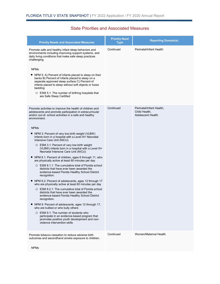## State Priorities and Associated Measures

| <b>Priority Needs and Associated Measures</b>                                                                                                                                                                                                                                                                                                                                                                                                                                                                                                                                                                                                                                                                                                                                                                                                                                                                                                                                                                                                                                                                                                                                                                                                                                                                                                                                        | <b>Priority Need</b><br><b>Type</b> | <b>Reporting Domain(s)</b>                                            |
|--------------------------------------------------------------------------------------------------------------------------------------------------------------------------------------------------------------------------------------------------------------------------------------------------------------------------------------------------------------------------------------------------------------------------------------------------------------------------------------------------------------------------------------------------------------------------------------------------------------------------------------------------------------------------------------------------------------------------------------------------------------------------------------------------------------------------------------------------------------------------------------------------------------------------------------------------------------------------------------------------------------------------------------------------------------------------------------------------------------------------------------------------------------------------------------------------------------------------------------------------------------------------------------------------------------------------------------------------------------------------------------|-------------------------------------|-----------------------------------------------------------------------|
| Promote safe and healthy infant sleep behaviors and<br>environments including improving support systems, and<br>daily living conditions that make safe sleep practices<br>challenging.<br><b>NPMs</b><br>NPM 5: A) Percent of infants placed to sleep on their<br>backs B) Percent of infants placed to sleep on a<br>separate approved sleep surface C) Percent of<br>infants placed to sleep without soft objects or loose<br>bedding<br>O ESM 5.1: The number of birthing hospitals that<br>are Safe Sleep Certified                                                                                                                                                                                                                                                                                                                                                                                                                                                                                                                                                                                                                                                                                                                                                                                                                                                              | Continued                           | Perinatal/Infant Health                                               |
| Promote activities to improve the health of children and<br>adolescents and promote participation in extracurricular<br>and/or out-of- school activities in a safe and healthy<br>environment.<br><b>NPMs</b><br>NPM 3: Percent of very low birth weight (VLBW)<br>infants born in a hospital with a Level III+ Neonatal<br>Intensive Care Unit (NICU)<br>$\circ$ ESM 3.1: Percent of very low birth weight<br>(VLBW) infants born in a hospital with a Level III+<br>Neonatal Intensive Care Unit (NICU)<br>NPM 8.1: Percent of children, ages 6 through 11, who<br>are physically active at least 60 minutes per day<br>$\circ$ ESM 8.1.1: The cumulative total of Florida school<br>districts that have ever been awarded the<br>evidence-based Florida Healthy School District<br>recognition.<br>• NPM 8.2: Percent of adolescents, ages 12 through 17<br>who are physically active at least 60 minutes per day<br>$\circ$ ESM 8.2.1: The cumulative total of Florida school<br>districts that have ever been awarded the<br>evidence-based Florida Healthy School District<br>recognition.<br>NPM 9: Percent of adolescents, ages 12 through 17,<br>$\bullet$<br>who are bullied or who bully others<br>O ESM 9.1: The number of students who<br>participate in an evidence-based program that<br>promotes positive youth development and non-<br>violence intervention skills | Continued                           | Perinatal/Infant Health,<br>Child Health,<br><b>Adolescent Health</b> |
| Promote tobacco cessation to reduce adverse birth<br>outcomes and secondhand smoke exposure to children.                                                                                                                                                                                                                                                                                                                                                                                                                                                                                                                                                                                                                                                                                                                                                                                                                                                                                                                                                                                                                                                                                                                                                                                                                                                                             | Continued                           | Women/Maternal Health                                                 |

NPMs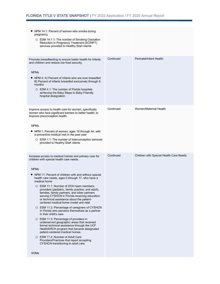| • NPM 14.1: Percent of women who smoke during<br>pregnancy<br>○ ESM 14.1.1: The number of Smoking Cessation<br>Reduction in Pregnancy Treatment (SCRIPT)<br>services provided to Healthy Start clients                                                                                                                                                                                                                                                                                                                                                                                                                                                                                                                                                                                                                                                                                                                                                                                                                                |           |                                         |
|---------------------------------------------------------------------------------------------------------------------------------------------------------------------------------------------------------------------------------------------------------------------------------------------------------------------------------------------------------------------------------------------------------------------------------------------------------------------------------------------------------------------------------------------------------------------------------------------------------------------------------------------------------------------------------------------------------------------------------------------------------------------------------------------------------------------------------------------------------------------------------------------------------------------------------------------------------------------------------------------------------------------------------------|-----------|-----------------------------------------|
| Promote breastfeeding to ensure better health for infants<br>and children and reduce low food security.<br><b>NPMs</b><br>NPM 4: A) Percent of infants who are ever breastfed<br>B) Percent of infants breastfed exclusively through 6<br>months<br>○ ESM 4.1: The number of Florida hospitals<br>achieving the Baby Steps to Baby Friendly<br>hospital designation.                                                                                                                                                                                                                                                                                                                                                                                                                                                                                                                                                                                                                                                                  | Continued | Perinatal/Infant Health                 |
| Improve access to health care for women, specifically<br>women who face significant barriers to better health, to<br>improve preconception health.<br><b>NPMs</b><br>NPM 1: Percent of women, ages 18 through 44, with<br>a preventive medical visit in the past year<br>$\circ$ ESM 1.1: The number of interconception services<br>provided to Healthy Start clients                                                                                                                                                                                                                                                                                                                                                                                                                                                                                                                                                                                                                                                                 | Continued | Women/Maternal Health                   |
| Increase access to medical homes and primary care for<br>children with special health care needs.<br><b>NPMs</b><br>NPM 11: Percent of children with and without special<br>health care needs, ages 0 through 17, who have a<br>medical home<br>O ESM 11.1: Number of DOH team members,<br>providers (pediatric, family practice, and adult),<br>families, family partners, and other partners<br>serving CYSHCN in Florida receiving education<br>or technical assistance about the patient-<br>centered medical home model and relat<br>ESM 11.2: Percentage of caregivers of CYSHCN<br>$\circ$<br>in Florida who perceive themselves as a partner<br>in their child's care.<br>○ ESM 11.3: Percentage of providers in<br>underserved geographic areas that received<br>formal technical assistance through the UCF<br>HealthARCH program that became designated<br>patient-centered medical homes.<br>○ ESM 11.4: Number of Adult Care<br>Providers/Practices that report accepting<br>CYSHCN transitioning to adult care.<br>SOMs | Continued | Children with Special Health Care Needs |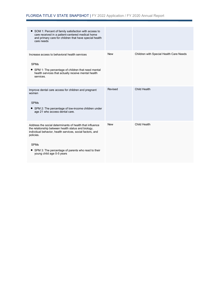## FLORIDA TITLE V STATE SNAPSHOT | FY 2022 Application / FY 2020 Annual Report

| SOM 1: Percent of family satisfaction with access to<br>care received in a patient-centered medical home<br>and primary care for children that have special health<br>care needs                                                                                                              |            |                                         |
|-----------------------------------------------------------------------------------------------------------------------------------------------------------------------------------------------------------------------------------------------------------------------------------------------|------------|-----------------------------------------|
| Increase access to behavioral health services<br><b>SPMs</b><br>• SPM 1: The percentage of children that need mental<br>health services that actually receive mental health<br>services.                                                                                                      | <b>New</b> | Children with Special Health Care Needs |
| Improve dental care access for children and pregnant<br>women<br><b>SPMs</b><br>• SPM 2: The percentage of low-income children under<br>age 21 who access dental care.                                                                                                                        | Revised    | Child Health                            |
| Address the social determinants of health that influence<br>the relationship between health status and biology,<br>individual behavior, health services, social factors, and<br>policies.<br><b>SPMs</b><br>• SPM 3: The percentage of parents who read to their<br>young child age 0-5 years | <b>New</b> | Child Health                            |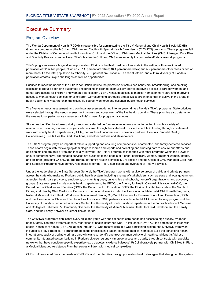## Executive Summary

#### Program Overview

The Florida Department of Health (FDOH) is responsible for administering the Title V Maternal and Child Health Block (MCHB) Grant, encompassing the MCH and Children and Youth with Special Health Care Needs (CYSHCN) programs. These programs fall under the Division of Community Health Promotion (CHP) and the Office of Children's Medical Services (CMS) Managed Care Plan and Specialty Programs respectively. Title V leaders in CHP and CMS meet monthly to coordinate efforts across all programs.

Title V programs serve a large, diverse population. Florida is the third most populous state in the nation, with an estimated population of 22 million people, of which 75.1% percent are white; 16.1 percent are black; and 5.7 percent are other races or two or more races. Of the total population by ethnicity, 25.6 percent are Hispanic. The racial, ethnic, and cultural diversity of Florida's population creates unique challenges as well as opportunities.

Priorities to meet the needs of the Title V population include the promotion of safe sleep behaviors, breastfeeding, and smoking cessation to reduce poor birth outcomes; encouraging children to be physically active; improving access to care for women; and dental care access for children and women. Priorities for CYSHCN include access to medical homes/primary care and improving access to mental health services for all children. Corresponding strategies and activities are intentionally inclusive in the areas of health equity, family partnership, transition, life course, workforce and essential public health services.

The five-year needs assessment, and continual assessment during interim years, drives Florida's Title V programs. State priorities were selected through the needs assessment process and cover each of the five health domains. These priorities also determine the nine national performance measures (NPMs) chosen for programmatic focus.

Strategies identified to address priority needs and selected performance measures are implemented through a variety of mechanisms, including statewide projects administered through the state health office, Schedule C funding through a statement of work with county health departments (CHDs), contracts with academic and university partners, Florida's Perinatal Quality Collaborative (FPQC), Healthy Start Coalitions, and other partners and stakeholders.

The Title V program plays an important role in supporting and ensuring comprehensive, coordinated, and family-centered services. These efforts begin with reviewing epidemiologic research and reports and collecting and studying data to ensure our efforts and decision making are data driven and factually relevant. The Title V program collaborates with other programs within the FDOH to ensure comprehensive, coordinated services are available to the people of Florida, particularly women, pregnant women, infants, and children (including CYSHCN). The Bureau of Family Health Services' MCH Section and the Office of CMS Managed Care Plan and Specialty Programs have primary responsibility for the Title V application and oversight of Title V activities.

Under the leadership of the State Surgeon General, the Title V program works with a diverse group of public and private partners across the state who make up Florida's public health system, including a range of stakeholders, such as state and local government agencies, health care providers, employers, community groups, universities and schools, nonprofit organizations, and advocacy groups. State examples include county health departments, the FPQC, the Agency for Health Care Administration (AHCA), the Department of Children and Families (DCF), the Department of Education (DOE), the Florida Hospital Association, the March of Dimes, and Healthy Start Coalitions. Partners on the national level include, the Association of Maternal & Child Health Programs, National Maternal Child Health Workforce Development Center, CityMatCH, Centers for Disease Control and Prevention (CDC), and the Association of State and Territorial Health Officers. CMS partnerships include the MCHB funded training programs at the University of Florida's Pediatric Pulmonary Center, the University of South Florida's Department of Pediatrics Adolescent Medicine and College of Behavioral & Community Sciences, the University of Miami's Mailman Center for Child Development, the Family Café, and the Family Network on Disabilities of Florida.

The CYSHCN program vision is that every child and youth with special health care needs has access to high quality, evidencebased, family-centered systems of care, regardless of health insurance type. To influence NOM 17.2, the percent of children with special health care needs (CSHCN), ages 0 through 17, who receive care in a well-functioning system, the CYSHCN framework includes five key strategies: 1) Transform pediatric practices into patient-centered medical homes 2) Build the behavioral health integration capacity of pediatric primary care clinicians to identify and treat common behavioral health conditions 3) Address community integrated system building in Florida's diverse regions 4) Improve access and quality through contracts with specialty networks that have condition-specific expertise (e.g., diabetes, sickle-cell disease) 5) Collaboratively partner with CMS Health Plan, a Medical Managed Assistance Plan that serves children with medical complexities.

CMS continues to address the needs of CYSHCN and their families through population health strategies that strengthen the system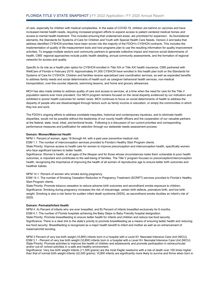of care, especially for children with medical complexities. In the wake of COVID-19, children are behind on vaccines and have increased mental health needs, requiring increased program efforts to expand access to patient centered medical homes and access to mental health treatment. This includes ensuring that underserved areas, are prioritized for expansion. As foundational elements, the Standards for Systems of Care for Children and Youth with Special Health Care Needs, Version 2 and tasks that address identified CYSHCN priorities have been woven into the majority of the FDOH's CYSHCN contracts. This includes the implementation of quality of life measurement tools and how programs plan to use the resulting information for quality improvement activities. To engage multiple sectors and community partners to generate collective impact and improve social determinants of health, CMS' regional approaches include public health detailing, annual community assessments, and the formation of regional networks for access and quality.

Specific to its role as a health plan option for CYSHCN enrolled in Title XIX or Title XXI health insurance, CMS partnered with WellCare of Florida in February 2019. Approximately 91,000 CYSHCN have enrolled in this health plan built on the Standards for Systems of Care for CYSHCN. Children and families receive specialized care coordination services, as well as expanded benefits to address family needs and social determinants of health such as caregiver behavioral health services, non-medical transportation, over-the-counter stipends, swimming lessons, and home and grocery allowances.

MCH has also made strides to address quality of care and access to services, at a time when the need for care for the Title V population seems ever more prevalent. Our MCH program remains focused on the racial disparity evidenced by our indicators and exhibited in poorer health outcomes for certain races. MCH continues to focus on social determinants of health to address the disparity of people who are disadvantaged through factors such as family income or education, or simply the communities in which they live and work.

The FDOH's ongoing efforts to address avoidable inequities, historical and contemporary injustices, and to eliminate health disparities, would not be possible without the leadership of our county health officers and the cooperation of our valuable partners at the federal, state, local, tribal, and territorial levels. Following is a discussion of our current priorities and corresponding performance measures and justification for selection through our statewide needs assessment process:

#### **Domain: Women/Maternal Health**

NPM 1: Percent of women, ages 18 through 44, with a past year preventive medical visit.

ESM 1.1: The number of interconception services provided to Florida's Healthy Start Program clients.

State Priority: Improve access to health care for women to improve preconception and interconception health, specifically women who face significant barriers to better health.

Significance: Women's health, at all ages of the lifespan and for those whose circumstances make them vulnerable to poor health outcomes, is important and contributes to the well-being of families. The Title V program focuses on preconception/interconception health, recognizing the importance of improving the health of all women of reproductive age to ensure better birth outcomes and healthier babies.

NPM 14.1: Percent of women who smoke during pregnancy.

ESM 14.1: The number of Smoking Cessation Reduction in Pregnancy Treatment (SCRIPT) services provided to Florida's Healthy Start Program clients.

State Priority: Promote tobacco cessation to reduce adverse birth outcomes and secondhand smoke exposure to children. Significance: Smoking during pregnancy increases the risk of miscarriage, certain birth defects, premature birth, and low birth weight. Smoking is also a risk factor for sudden infant death syndrome (SIDS), as secondhand smoke doubles an infant's risk of SIDS.

#### **Domain: Perinatal/Infant Health**

NPM 4: A) Percent of infants who are ever breastfed, and B) Percent of infants breastfed exclusively for 6 months. ESM 4.1: The number of Florida hospitals achieving the Baby Steps to Baby Friendly hospital designation. State Priority: Promote breastfeeding to ensure better health for infants and children and reduce low food security. Significance: There is a clear link to the state's priority to promote breastfeeding as a means of ensuring better health and reducing low food security. Breastfeeding is recognized as a major health benefit to infant and mother as well as an enhancement of maternal/child bonding.

NPM 3 Percent of very low birth weight (VLBW) infants born in a hospital with a Level III+ Neonatal Intensive Care Unit (NICU). ESM 3.1 - Percent of very low birth weight (VLBW) infants born in a hospital with a Level III+ Neonatal Intensive Care Unit (NICU) State Priority: Promote activities to improve the health of children and adolescents and promote participation in extracurricular and/or out-of- school activities in a safe and healthy environment.

Significance: Very low birth weight infants (<1,500 grams) are the most fragile newborns with a risk of death over 100 times higher than that of normal birth weight infants (≥2,500 grams). VLBW infants are significantly more likely to survive and thrive when born in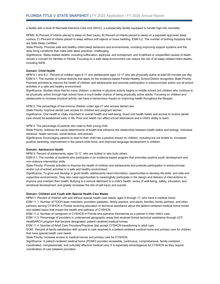a facility with a level-III Neonatal Intensive Care Unit (NICU), a subspecialty facility equipped to handle high-risk neonates.

NPM5: A) Percent of infants placed to sleep on their backs, B) Percent of infants placed to sleep on a separate approved sleep surface, C) Percent of infants placed to sleep without soft objects or loose bedding. ESM 5.2: The number of birthing hospitals that are Safe Sleep Certified.

State Priority: Promote safe and healthy infant sleep behaviors and environments, including improving support systems and the daily living conditions that make safe sleep practices. challenging.

Significance: Sleep-related deaths, including suffocation, asphyxia, and entrapment; and ill-defined or unspecified causes of death, remain a concern for families in Florida. Focusing on a safe sleep environment can reduce the risk of all sleep-related infant deaths, including SIDS.

#### **Domain: Child Health**

NPM 8.1 and 8.2 : Percent of children ages 6-11 and adolescents ages 12-17 who are physically active at least 60 minutes per day. ESM 8.1: The number of school districts that apply for the evidence-based Florida Healthy School District recognition State Priority: Promote activities to improve the health of children and adolescents and promote participation in extracurricular and/or out-of-school activities in a safe and healthy environment.

Significance: Studies show that for many children, a decline in physical activity begins in middle school, but children who continue to be physically active through high school have a much better chance of being physically active adults. Focusing on children and adolescents to increase physical activity can have a tremendous impact on improving health throughout the lifespan.

SPM 2: The percentage of low-income children under age 21 who access dental care

State Priority: Improve dental care access for children and pregnant women.

Significance: Oral health is vitally important to overall health and well-being. Good oral health habits and access to routine dental care should be established early in life. Poor oral health can affect school attendance and a child's ability to learn.

SPM 3: The percentage of parents who read to their young child.

State Priority: Address the social determinants of health that influence the relationship between health status and biology, individual behavior, health services, social factors, and policies.

Significance: Encouraging parents to read to their child has a positive impact on children, including but not limited to, increased positive parenting, improvement in the parent-child bond, and improved language development in children.

#### **Domain: Adolescent Health**

NPM 9: Percent of adolescents, ages 12-17, who are bullied or who bully others.

ESM 9.1: The number of students who participate in an evidence-based program that promotes positive youth development and non-violence intervention skills.

State Priority: Promote activities to improve the health of children and adolescents and promote participation in extracurricular and/or out-of-school activities in a safe and healthy environment.

Significance: To grow and develop in good health, adolescents need information, opportunities to develop life skills; and safe and supportive environments. They also need opportunities to meaningfully participate in the design and delivery of interventions to improve and maintain their health. Bullying is a serious detriment to a child's health, sense of well-being, safety, education, and emotional development; and greatly increases the risk of self-injury and suicide.

#### **Domain: Children and Youth with Special Health Care Needs**

NPM11: Percent of children with and without special health care needs, ages 0 through 17, who have a medical home. ESM 11.1: Number of FDOH team members, providers (pediatric, family practice, and adult), families, family partners, and other partners serving CYSHCN in Florida receiving education or technical assistance about the patient-centered medical home model and related topics that impact the health and wellness of CYSHCN.

ESM 11.2: Number of caregivers of CYSHCN in Florida who perceive themselves as a partner in their child's care.

ESM 11.3: Percentage of providers in underserved geographic areas that received formal technical assistance through UCF HealthARCH program that became designated patient-centered medical homes.

ESM 11.4: Number of Adult Care Providers/Practices that accept CYSHCN transitioning to adult care.

SOM: Percent of family satisfaction with access to care received in a patient-centered medical home and primary care for children that have special health care needs

State Priority: Increase access to medical homes and primary care for CYSHCN.

Significance: A patient-centered medical home (PCMH) provides accessible, continuous, comprehensive, family-centered,

coordinated, compassionate, and culturally effective medical care. It is especially advantageous for CYSHCN as they require coordination of care between providers.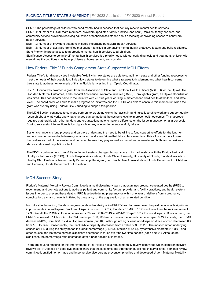SPM 1: The percentage of children who need mental health services that actually receive mental health services. ESM 1.1: Number of FDOH team members, providers, (pediatric, family practice, and adult), families, family partners, and community service providers receiving education or technical assistance about accessing or providing access to behavioral health services.

ESM 1.2: Number of providers that have initiated integrating behavioral health services.

ESM 1.3: Number of activities identified that support families in enhancing mental health protective factors and build resilience. State Priority: Improve access to appropriate mental health services to all children.

Significance: Access to behavioral/mental health services is a priority need. Without early diagnosis and treatment, children with mental health conditions may have problems at home, school, and socially.

#### How Federal Title V Funds Complement State-Supported MCH Efforts

Federal Title V funding provides invaluable flexibility in how states are able to compliment state and other funding resources to meet the needs of their population. This allows states to determine what strategies to implement and what health concerns in their state to address. An example of this in Florida is investing in an Opioid Coordinator.

In 2018 Florida was awarded a grant from the Association of State and Territorial Health Officers (ASTHO) for the Opioid Use Disorder, Maternal Outcomes, and Neonatal Abstinence Syndrome Initiative (OMNI). Through this grant, an Opioid Coordinator was hired. This coordinator came to the initiative with 20 plus years working in maternal and child health at the local and state level. The coordinator was able to make progress on initiatives and the FDOH was able to continue this momentum when the grant was over by using Federal Title V funding to support this position.

The MCH Section continues to convene partners to create networks that assist in funding collaborative work and support quality research about what works and what changes can be made at the systems level to improve health outcomes. This approach requires partnership with other funders and organizations able to make a difference on the issue in question on a larger scale. Scaling successful interventions is too big a job for any one funder to successfully take on.

Systems change is a long process and partners understand the need to be willing to fund supportive efforts for the long-term and encourage the inevitable learning, adaptation, and even failure that takes place over time. This allows partners to see themselves as part of the solution and consider the role they play as well as the return on investment, both from a business stance and overall population effect.

The FDOH continues to successfully implement system changes through some of its partnerships with the Florida Perinatal Quality Collaborative (FPQC), Florida Hospital Association, Florida State University, University of Florida, Florida Association of Healthy Start Coalitions, Nurse Family Partnership, the Agency for Health Care Administration, Florida Department of Children and Families, Florida Department of Education,

#### MCH Success Story

Florida's Maternal Mortality Review Committee is a multi-disciplinary team that examines pregnancy-related deaths (PRD) to recommend and promote actions to address patient and community factors, provider and facility practices, and health system issues in order to prevent these deaths. PRD is a death during pregnancy or within one year of delivery from a pregnancy complication, a chain of events initiated by pregnancy, or the aggravation of an unrelated condition.

In contrast to the nation, Florida's pregnancy-related mortality ratio (PRMR) has decreased over the past decade with significant improvements in non-Hispanic Black and Hispanic women. In 2017, Florida's PRMR of 15.7 was lower than the national ratio of 17.3. Overall, the PRMR in Florida decreased 29% from 2009-2013 to 2014-2018 (p<0.001). For non-Hispanic Black women, the PRMR decreased 37% from 46.6 to 29.4 deaths per 100,000 live births over the same time period (p=0.002). Similarly, the PRMR decreased 42%, from 12.8 to 7.4 in Hispanic women (p=0.04). Although not significant, non-Hispanic White women decreased 8% from 15.8 to 14.5. Consequently, the Black-White disparity decreased from a value of 3.0 to 2.0. The most common underlying causes of PRD during the study period included: hemorrhage (21.1%), infection (15.4%), hypertensive disorders (11.8%), and other causes; the last three showed significant decreases in ratios over the two time periods (each p<0.01). Although not significant, the hemorrhage ratio decreased after a prior decade of increase.

There are several reasons for this improvement. First, Florida has a robust mortality review committee which comprehensively reviews all PRD based on good evidence to show that these committees strengthen public health surveillance. Florida's review committee identified hemorrhage and hypertensive disorders as prevention priorities and developed Urgent Maternal Mortality